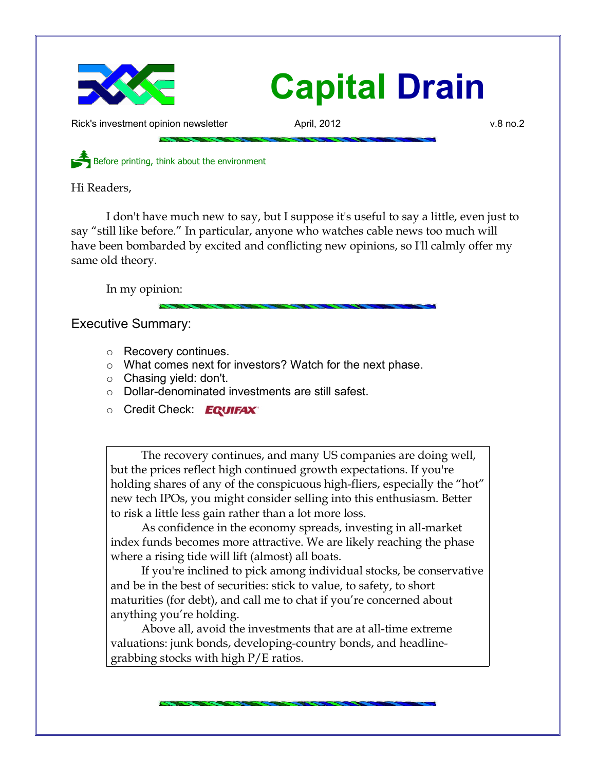

## **Capital Drain**

Rick's investment opinion newsletter **April, 2012** v.8 no.2

Before printing, think about the environment

Hi Readers,

I don't have much new to say, but I suppose it's useful to say a little, even just to say "still like before." In particular, anyone who watches cable news too much will have been bombarded by excited and conflicting new opinions, so I'll calmly offer my same old theory.

In my opinion:

Executive Summary:

- Recovery continues.
- What comes next for investors? Watch for the next phase.
- Chasing yield: don't.
- Dollar-denominated investments are still safest.
- **Credit Check: EQUIFAX**

The recovery continues, and many US companies are doing well, but the prices reflect high continued growth expectations. If you're holding shares of any of the conspicuous high-fliers, especially the "hot" new tech IPOs, you might consider selling into this enthusiasm. Better to risk a little less gain rather than a lot more loss.

As confidence in the economy spreads, investing in all-market index funds becomes more attractive. We are likely reaching the phase where a rising tide will lift (almost) all boats.

If you're inclined to pick among individual stocks, be conservative and be in the best of securities: stick to value, to safety, to short maturities (for debt), and call me to chat if you're concerned about anything you're holding.

Above all, avoid the investments that are at all-time extreme valuations: junk bonds, developing-country bonds, and headlinegrabbing stocks with high P/E ratios.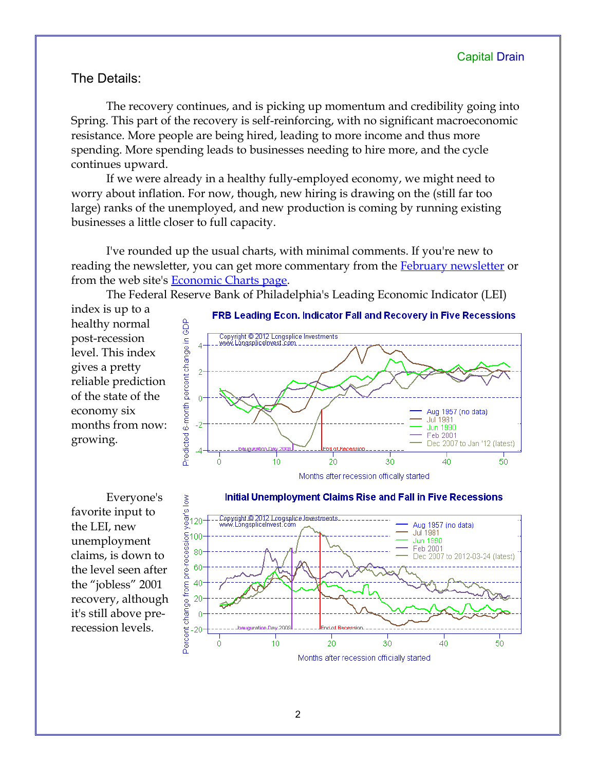## The Details:

The recovery continues, and is picking up momentum and credibility going into Spring. This part of the recovery is self-reinforcing, with no significant macroeconomic resistance. More people are being hired, leading to more income and thus more spending. More spending leads to businesses needing to hire more, and the cycle continues upward.

If we were already in a healthy fully-employed economy, we might need to worry about inflation. For now, though, new hiring is drawing on the (still far too large) ranks of the unemployed, and new production is coming by running existing businesses a little closer to full capacity.

I've rounded up the usual charts, with minimal comments. If you're new to reading the newsletter, you can get more commentary from the **February newsletter** or from the web site's [Economic Charts page.](http://www.longspliceinvest.com/econCharts.shtml)

The Federal Reserve Bank of Philadelphia's Leading Economic Indicator (LEI)

index is up to a healthy normal post-recession level. This index gives a pretty reliable prediction of the state of the economy six months from now: growing.



Everyone's favorite input to the LEI, new unemployment claims, is down to the level seen after the "jobless" 2001 recovery, although it's still above prerecession levels.

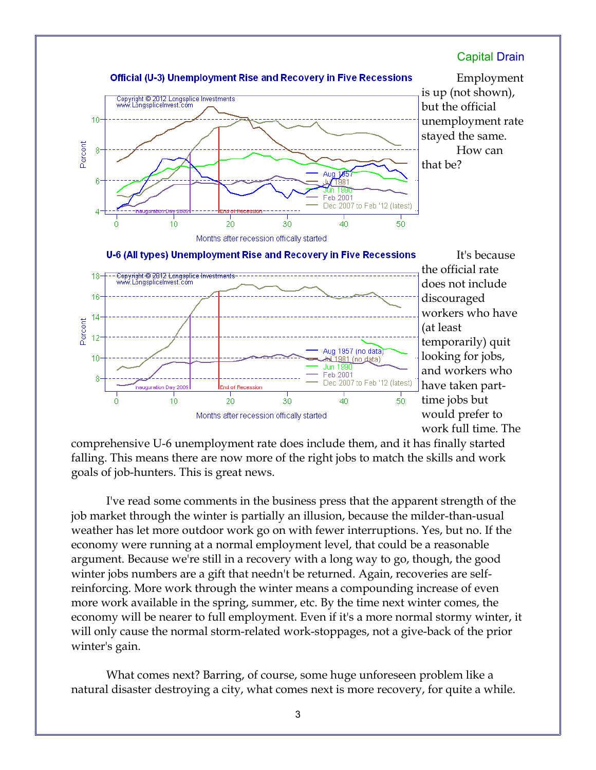

comprehensive U-6 unemployment rate does include them, and it has finally started falling. This means there are now more of the right jobs to match the skills and work goals of job-hunters. This is great news.

I've read some comments in the business press that the apparent strength of the job market through the winter is partially an illusion, because the milder-than-usual weather has let more outdoor work go on with fewer interruptions. Yes, but no. If the economy were running at a normal employment level, that could be a reasonable argument. Because we're still in a recovery with a long way to go, though, the good winter jobs numbers are a gift that needn't be returned. Again, recoveries are selfreinforcing. More work through the winter means a compounding increase of even more work available in the spring, summer, etc. By the time next winter comes, the economy will be nearer to full employment. Even if it's a more normal stormy winter, it will only cause the normal storm-related work-stoppages, not a give-back of the prior winter's gain.

What comes next? Barring, of course, some huge unforeseen problem like a natural disaster destroying a city, what comes next is more recovery, for quite a while.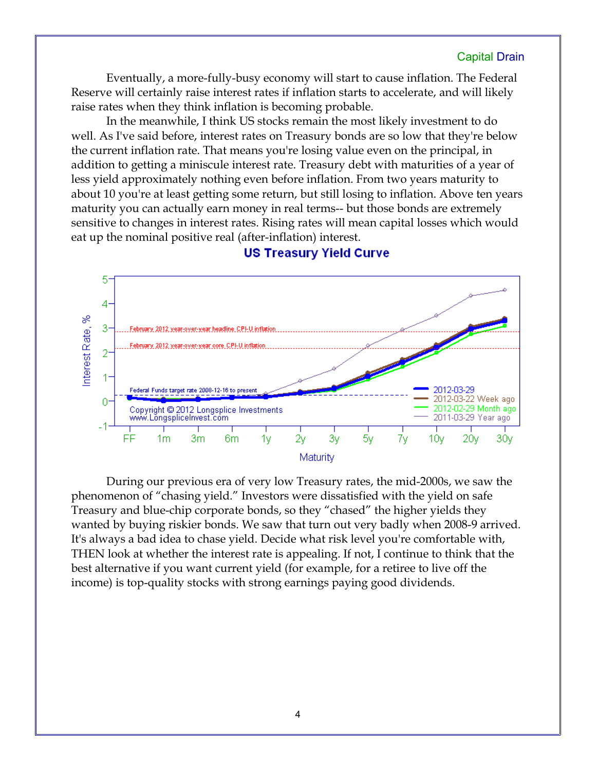## Capital Drain

Eventually, a more-fully-busy economy will start to cause inflation. The Federal Reserve will certainly raise interest rates if inflation starts to accelerate, and will likely raise rates when they think inflation is becoming probable.

In the meanwhile, I think US stocks remain the most likely investment to do well. As I've said before, interest rates on Treasury bonds are so low that they're below the current inflation rate. That means you're losing value even on the principal, in addition to getting a miniscule interest rate. Treasury debt with maturities of a year of less yield approximately nothing even before inflation. From two years maturity to about 10 you're at least getting some return, but still losing to inflation. Above ten years maturity you can actually earn money in real terms-- but those bonds are extremely sensitive to changes in interest rates. Rising rates will mean capital losses which would eat up the nominal positive real (after-inflation) interest.



**US Treasury Yield Curve** 

During our previous era of very low Treasury rates, the mid-2000s, we saw the phenomenon of "chasing yield." Investors were dissatisfied with the yield on safe Treasury and blue-chip corporate bonds, so they "chased" the higher yields they wanted by buying riskier bonds. We saw that turn out very badly when 2008-9 arrived. It's always a bad idea to chase yield. Decide what risk level you're comfortable with, THEN look at whether the interest rate is appealing. If not, I continue to think that the best alternative if you want current yield (for example, for a retiree to live off the income) is top-quality stocks with strong earnings paying good dividends.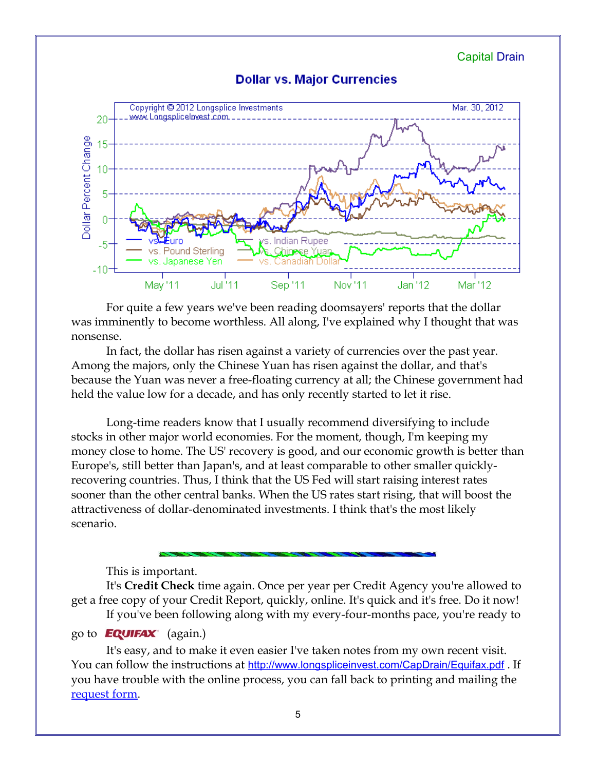Capital Drain





For quite a few years we've been reading doomsayers' reports that the dollar was imminently to become worthless. All along, I've explained why I thought that was nonsense.

In fact, the dollar has risen against a variety of currencies over the past year. Among the majors, only the Chinese Yuan has risen against the dollar, and that's because the Yuan was never a free-floating currency at all; the Chinese government had held the value low for a decade, and has only recently started to let it rise.

Long-time readers know that I usually recommend diversifying to include stocks in other major world economies. For the moment, though, I'm keeping my money close to home. The US' recovery is good, and our economic growth is better than Europe's, still better than Japan's, and at least comparable to other smaller quicklyrecovering countries. Thus, I think that the US Fed will start raising interest rates sooner than the other central banks. When the US rates start rising, that will boost the attractiveness of dollar-denominated investments. I think that's the most likely scenario.

This is important.

It's **Credit Check** time again. Once per year per Credit Agency you're allowed to get a free copy of your Credit Report, quickly, online. It's quick and it's free. Do it now! If you've been following along with my every-four-months pace, you're ready to

## go to **EQUIFAX** (again.)

It's easy, and to make it even easier I've taken notes from my own recent visit. You can follow the instructions at <http://www.longspliceinvest.com/CapDrain/Equifax.pdf> . If you have trouble with the online process, you can fall back to printing and mailing the [request form.](https://www.annualcreditreport.com/cra/requestformfinal.pdf)